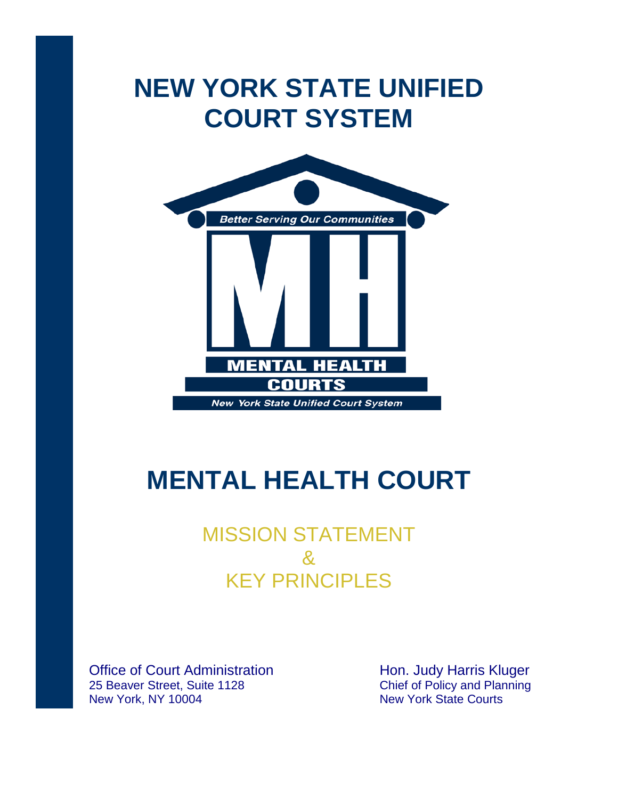# **NEW YORK STATE UNIFIED COURT SYSTEM**



# **MENTAL HEALTH COURT**

## MISSION STATEMENT & KEY PRINCIPLES

Office of Court Administration 25 Beaver Street, Suite 1128 New York, NY 10004

Hon. Judy Harris Kluger Chief of Policy and Planning New York State Courts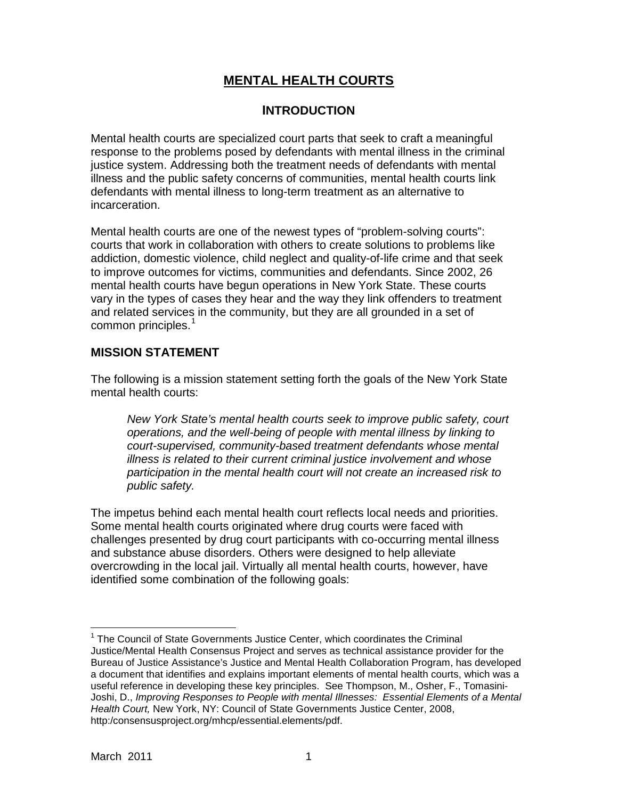### **MENTAL HEALTH COURTS**

### **INTRODUCTION**

Mental health courts are specialized court parts that seek to craft a meaningful response to the problems posed by defendants with mental illness in the criminal justice system. Addressing both the treatment needs of defendants with mental illness and the public safety concerns of communities, mental health courts link defendants with mental illness to long-term treatment as an alternative to incarceration.

Mental health courts are one of the newest types of "problem-solving courts": courts that work in collaboration with others to create solutions to problems like addiction, domestic violence, child neglect and quality-of-life crime and that seek to improve outcomes for victims, communities and defendants. Since 2002, 26 mental health courts have begun operations in New York State. These courts vary in the types of cases they hear and the way they link offenders to treatment and related services in the community, but they are all grounded in a set of common principles.<sup>[1](#page-1-0)</sup>

#### **MISSION STATEMENT**

The following is a mission statement setting forth the goals of the New York State mental health courts:

*New York State's mental health courts seek to improve public safety, court operations, and the well-being of people with mental illness by linking to court-supervised, community-based treatment defendants whose mental illness is related to their current criminal justice involvement and whose participation in the mental health court will not create an increased risk to public safety.*

The impetus behind each mental health court reflects local needs and priorities. Some mental health courts originated where drug courts were faced with challenges presented by drug court participants with co-occurring mental illness and substance abuse disorders. Others were designed to help alleviate overcrowding in the local jail. Virtually all mental health courts, however, have identified some combination of the following goals:

<span id="page-1-0"></span> $<sup>1</sup>$  The Council of State Governments Justice Center, which coordinates the Criminal</sup> Justice/Mental Health Consensus Project and serves as technical assistance provider for the Bureau of Justice Assistance's Justice and Mental Health Collaboration Program, has developed a document that identifies and explains important elements of mental health courts, which was a useful reference in developing these key principles. See Thompson, M., Osher, F., Tomasini-Joshi, D., *Improving Responses to People with mental Illnesses: Essential Elements of a Mental Health Court,* New York, NY: Council of State Governments Justice Center, 2008, http:/consensusproject.org/mhcp/essential.elements/pdf.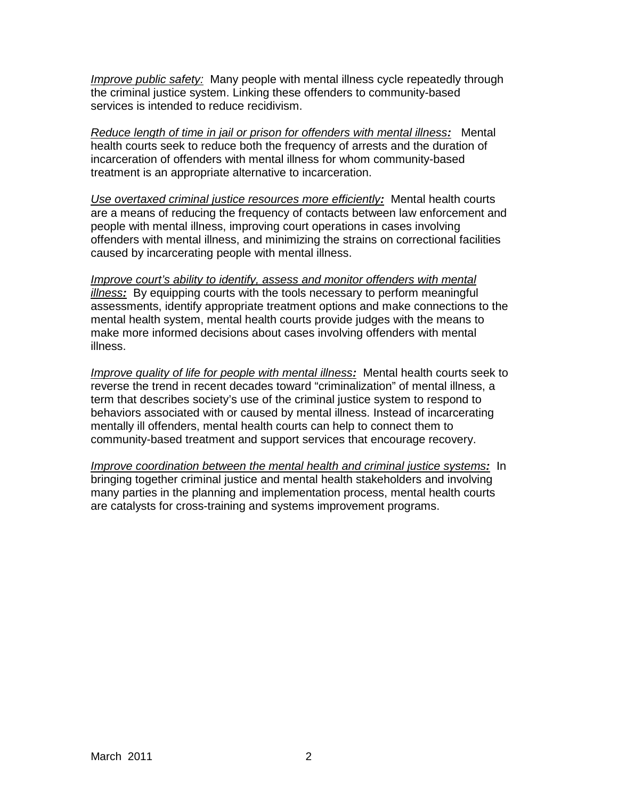*Improve public safety:* Many people with mental illness cycle repeatedly through the criminal justice system. Linking these offenders to community-based services is intended to reduce recidivism.

*Reduce length of time in jail or prison for offenders with mental illness:* Mental health courts seek to reduce both the frequency of arrests and the duration of incarceration of offenders with mental illness for whom community-based treatment is an appropriate alternative to incarceration.

*Use overtaxed criminal justice resources more efficiently:* Mental health courts are a means of reducing the frequency of contacts between law enforcement and people with mental illness, improving court operations in cases involving offenders with mental illness, and minimizing the strains on correctional facilities caused by incarcerating people with mental illness.

*Improve court's ability to identify, assess and monitor offenders with mental illness:* By equipping courts with the tools necessary to perform meaningful assessments, identify appropriate treatment options and make connections to the mental health system, mental health courts provide judges with the means to make more informed decisions about cases involving offenders with mental illness.

*Improve quality of life for people with mental illness:* Mental health courts seek to reverse the trend in recent decades toward "criminalization" of mental illness, a term that describes society's use of the criminal justice system to respond to behaviors associated with or caused by mental illness. Instead of incarcerating mentally ill offenders, mental health courts can help to connect them to community-based treatment and support services that encourage recovery.

*Improve coordination between the mental health and criminal justice systems:* In bringing together criminal justice and mental health stakeholders and involving many parties in the planning and implementation process, mental health courts are catalysts for cross-training and systems improvement programs.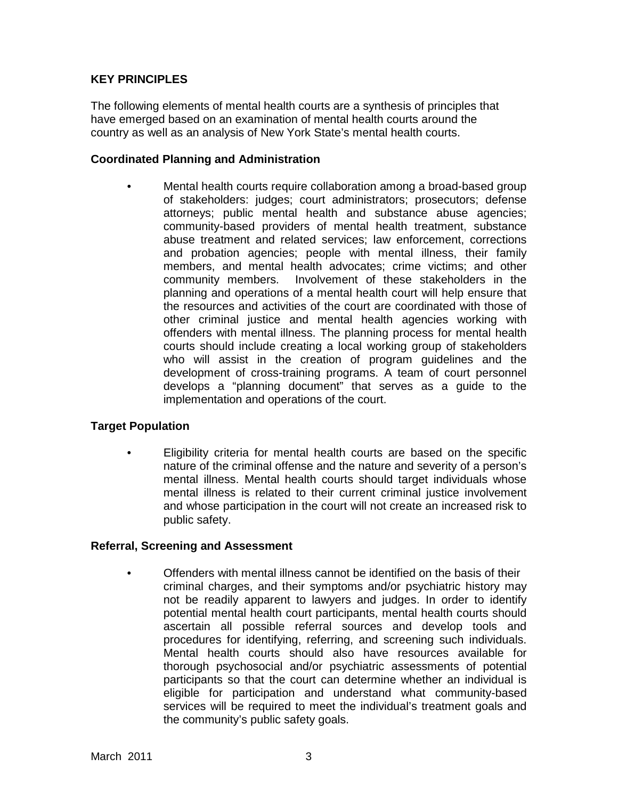#### **KEY PRINCIPLES**

The following elements of mental health courts are a synthesis of principles that have emerged based on an examination of mental health courts around the country as well as an analysis of New York State's mental health courts.

#### **Coordinated Planning and Administration**

• Mental health courts require collaboration among a broad-based group of stakeholders: judges; court administrators; prosecutors; defense attorneys; public mental health and substance abuse agencies; community-based providers of mental health treatment, substance abuse treatment and related services; law enforcement, corrections and probation agencies; people with mental illness, their family members, and mental health advocates; crime victims; and other community members. Involvement of these stakeholders in the planning and operations of a mental health court will help ensure that the resources and activities of the court are coordinated with those of other criminal justice and mental health agencies working with offenders with mental illness. The planning process for mental health courts should include creating a local working group of stakeholders who will assist in the creation of program guidelines and the development of cross-training programs. A team of court personnel develops a "planning document" that serves as a guide to the implementation and operations of the court.

#### **Target Population**

• Eligibility criteria for mental health courts are based on the specific nature of the criminal offense and the nature and severity of a person's mental illness. Mental health courts should target individuals whose mental illness is related to their current criminal justice involvement and whose participation in the court will not create an increased risk to public safety.

#### **Referral, Screening and Assessment**

• Offenders with mental illness cannot be identified on the basis of their criminal charges, and their symptoms and/or psychiatric history may not be readily apparent to lawyers and judges. In order to identify potential mental health court participants, mental health courts should ascertain all possible referral sources and develop tools and procedures for identifying, referring, and screening such individuals. Mental health courts should also have resources available for thorough psychosocial and/or psychiatric assessments of potential participants so that the court can determine whether an individual is eligible for participation and understand what community-based services will be required to meet the individual's treatment goals and the community's public safety goals.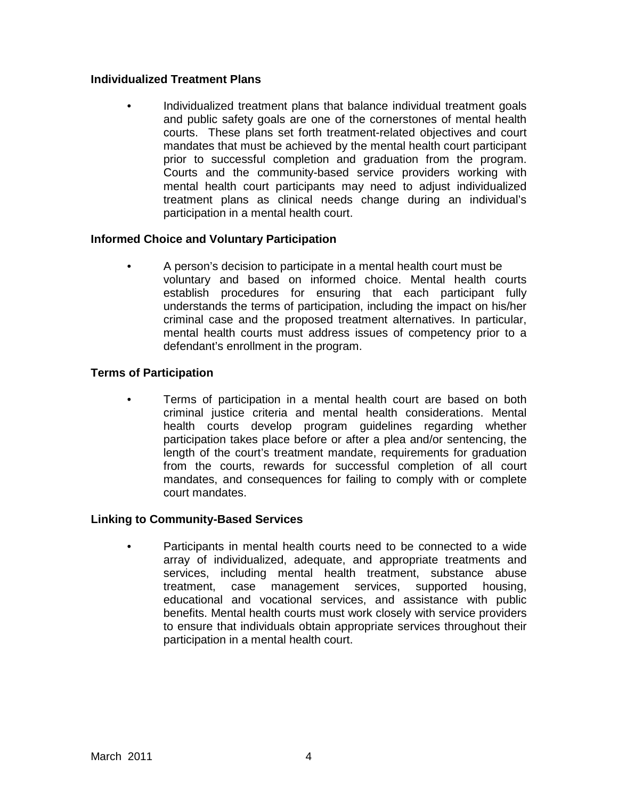#### **Individualized Treatment Plans**

• Individualized treatment plans that balance individual treatment goals and public safety goals are one of the cornerstones of mental health courts. These plans set forth treatment-related objectives and court mandates that must be achieved by the mental health court participant prior to successful completion and graduation from the program. Courts and the community-based service providers working with mental health court participants may need to adjust individualized treatment plans as clinical needs change during an individual's participation in a mental health court.

#### **Informed Choice and Voluntary Participation**

• A person's decision to participate in a mental health court must be voluntary and based on informed choice. Mental health courts establish procedures for ensuring that each participant fully understands the terms of participation, including the impact on his/her criminal case and the proposed treatment alternatives. In particular, mental health courts must address issues of competency prior to a defendant's enrollment in the program.

#### **Terms of Participation**

Terms of participation in a mental health court are based on both criminal justice criteria and mental health considerations. Mental health courts develop program guidelines regarding whether participation takes place before or after a plea and/or sentencing, the length of the court's treatment mandate, requirements for graduation from the courts, rewards for successful completion of all court mandates, and consequences for failing to comply with or complete court mandates.

#### **Linking to Community-Based Services**

• Participants in mental health courts need to be connected to a wide array of individualized, adequate, and appropriate treatments and services, including mental health treatment, substance abuse treatment, case management services, supported housing, educational and vocational services, and assistance with public benefits. Mental health courts must work closely with service providers to ensure that individuals obtain appropriate services throughout their participation in a mental health court.